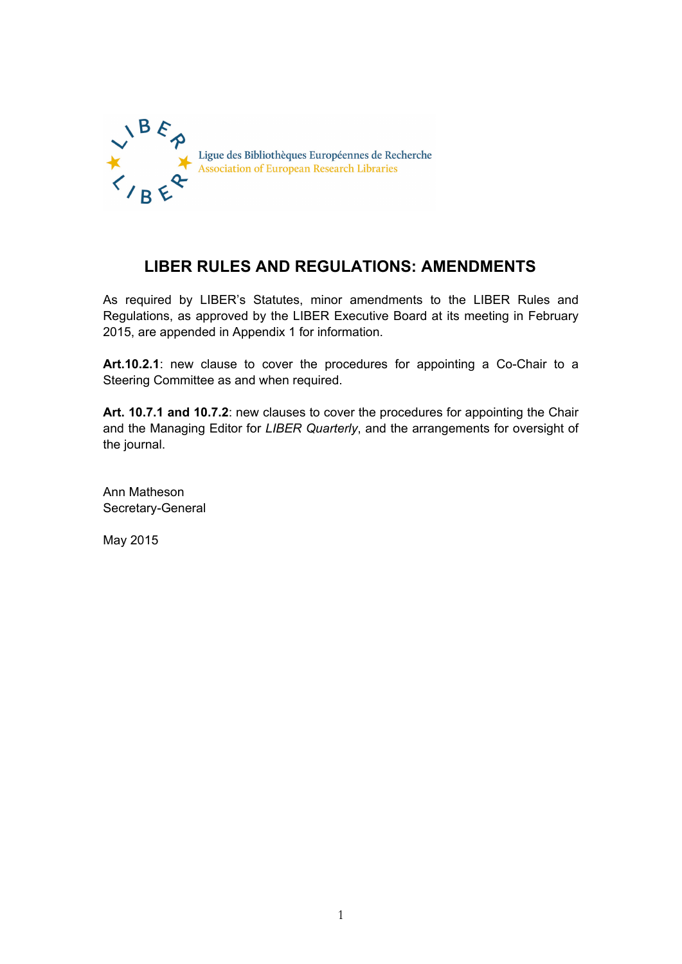

# **LIBER RULES AND REGULATIONS: AMENDMENTS**

As required by LIBER's Statutes, minor amendments to the LIBER Rules and Regulations, as approved by the LIBER Executive Board at its meeting in February 2015, are appended in Appendix 1 for information.

**Art.10.2.1**: new clause to cover the procedures for appointing a Co-Chair to a Steering Committee as and when required.

**Art. 10.7.1 and 10.7.2**: new clauses to cover the procedures for appointing the Chair and the Managing Editor for *LIBER Quarterly*, and the arrangements for oversight of the journal.

Ann Matheson Secretary-General

May 2015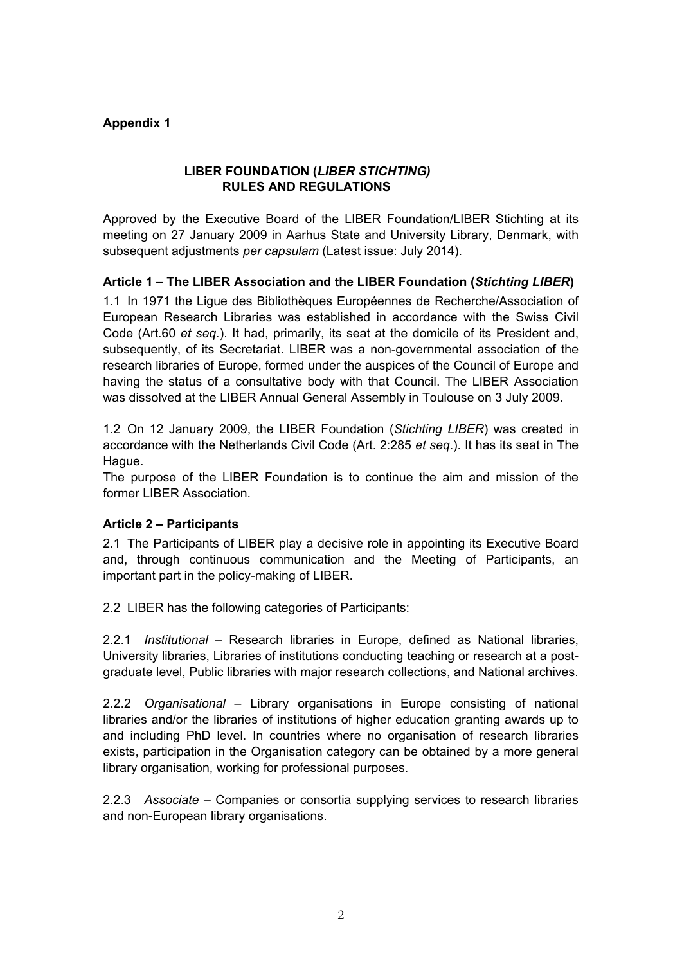# **Appendix 1**

# **LIBER FOUNDATION (***LIBER STICHTING)* **RULES AND REGULATIONS**

Approved by the Executive Board of the LIBER Foundation/LIBER Stichting at its meeting on 27 January 2009 in Aarhus State and University Library, Denmark, with subsequent adjustments *per capsulam* (Latest issue: July 2014).

## **Article 1 – The LIBER Association and the LIBER Foundation (***Stichting LIBER***)**

1.1 In 1971 the Ligue des Bibliothèques Européennes de Recherche/Association of European Research Libraries was established in accordance with the Swiss Civil Code (Art.60 *et seq.*). It had, primarily, its seat at the domicile of its President and, subsequently, of its Secretariat. LIBER was a non-governmental association of the research libraries of Europe, formed under the auspices of the Council of Europe and having the status of a consultative body with that Council. The LIBER Association was dissolved at the LIBER Annual General Assembly in Toulouse on 3 July 2009.

1.2 On 12 January 2009, the LIBER Foundation (*Stichting LIBER*) was created in accordance with the Netherlands Civil Code (Art. 2:285 *et seq*.). It has its seat in The Hague.

The purpose of the LIBER Foundation is to continue the aim and mission of the former LIBER Association.

#### **Article 2 – Participants**

2.1 The Participants of LIBER play a decisive role in appointing its Executive Board and, through continuous communication and the Meeting of Participants, an important part in the policy-making of LIBER.

2.2 LIBER has the following categories of Participants:

2.2.1 *Institutional* – Research libraries in Europe, defined as National libraries, University libraries, Libraries of institutions conducting teaching or research at a postgraduate level, Public libraries with major research collections, and National archives.

2.2.2 *Organisational* – Library organisations in Europe consisting of national libraries and/or the libraries of institutions of higher education granting awards up to and including PhD level. In countries where no organisation of research libraries exists, participation in the Organisation category can be obtained by a more general library organisation, working for professional purposes.

2.2.3 *Associate* – Companies or consortia supplying services to research libraries and non-European library organisations.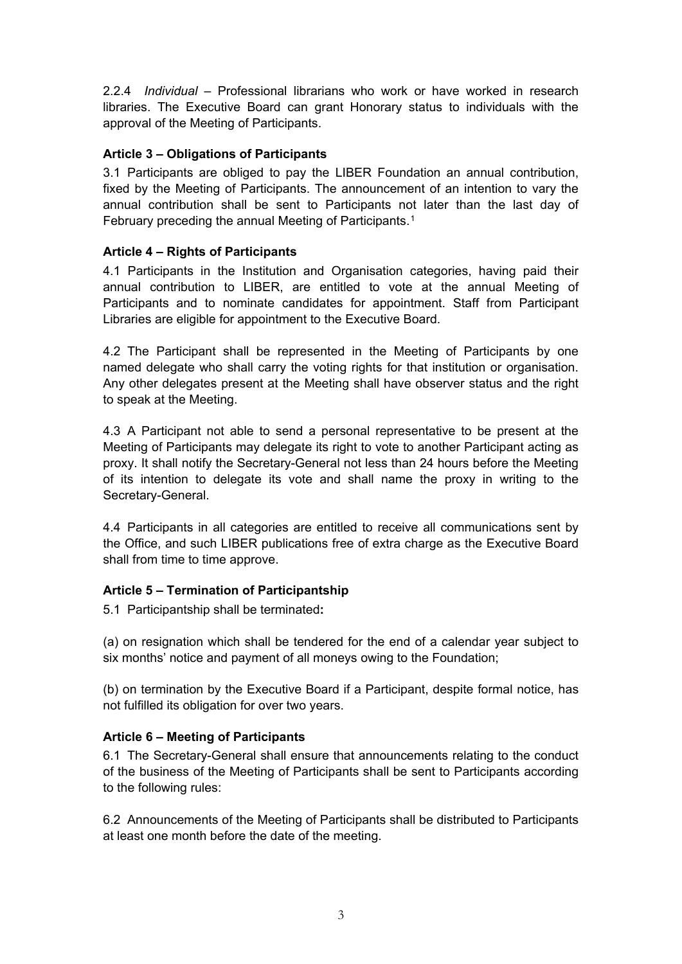2.2.4 *Individual* – Professional librarians who work or have worked in research libraries. The Executive Board can grant Honorary status to individuals with the approval of the Meeting of Participants.

# **Article 3 – Obligations of Participants**

3.1 Participants are obliged to pay the LIBER Foundation an annual contribution, fixed by the Meeting of Participants. The announcement of an intention to vary the annual contribution shall be sent to Participants not later than the last day of February preceding the annual Meeting of Participants.<sup>[1](#page-5-0)</sup>

## **Article 4 – Rights of Participants**

4.1 Participants in the Institution and Organisation categories, having paid their annual contribution to LIBER, are entitled to vote at the annual Meeting of Participants and to nominate candidates for appointment. Staff from Participant Libraries are eligible for appointment to the Executive Board.

4.2 The Participant shall be represented in the Meeting of Participants by one named delegate who shall carry the voting rights for that institution or organisation. Any other delegates present at the Meeting shall have observer status and the right to speak at the Meeting.

4.3 A Participant not able to send a personal representative to be present at the Meeting of Participants may delegate its right to vote to another Participant acting as proxy. It shall notify the Secretary-General not less than 24 hours before the Meeting of its intention to delegate its vote and shall name the proxy in writing to the Secretary-General.

4.4 Participants in all categories are entitled to receive all communications sent by the Office, and such LIBER publications free of extra charge as the Executive Board shall from time to time approve.

#### **Article 5 – Termination of Participantship**

5.1 Participantship shall be terminated**:**

(a) on resignation which shall be tendered for the end of a calendar year subject to six months' notice and payment of all moneys owing to the Foundation;

(b) on termination by the Executive Board if a Participant, despite formal notice, has not fulfilled its obligation for over two years.

# **Article 6 – Meeting of Participants**

6.1 The Secretary-General shall ensure that announcements relating to the conduct of the business of the Meeting of Participants shall be sent to Participants according to the following rules:

6.2 Announcements of the Meeting of Participants shall be distributed to Participants at least one month before the date of the meeting.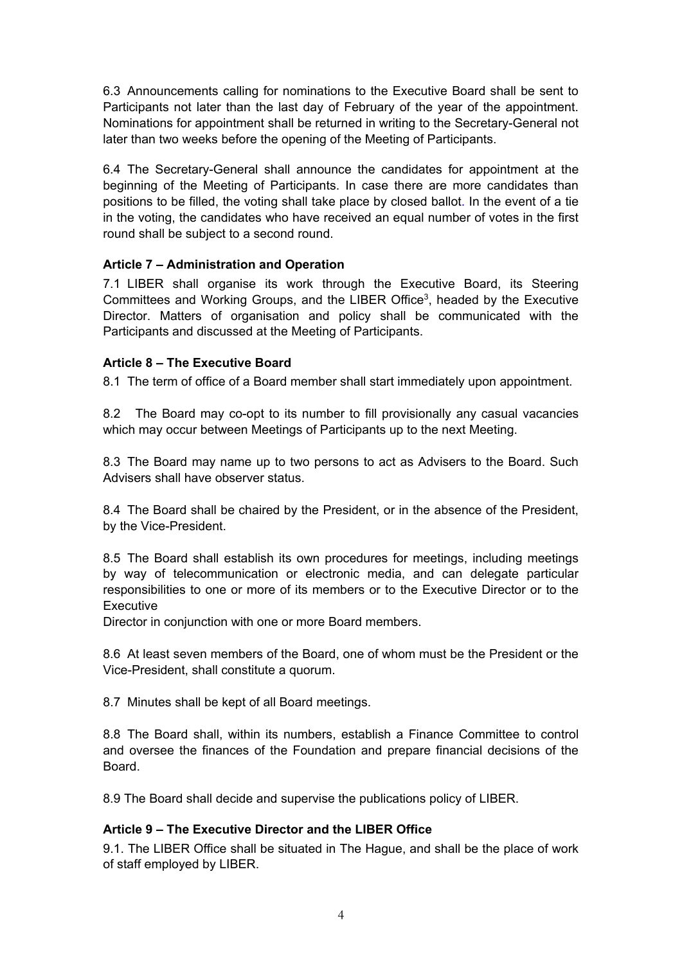6.3 Announcements calling for nominations to the Executive Board shall be sent to Participants not later than the last day of February of the year of the appointment. Nominations for appointment shall be returned in writing to the Secretary-General not later than two weeks before the opening of the Meeting of Participants.

6.4 The Secretary-General shall announce the candidates for appointment at the beginning of the Meeting of Participants. In case there are more candidates than positions to be filled, the voting shall take place by closed ballot. In the event of a tie in the voting, the candidates who have received an equal number of votes in the first round shall be subject to a second round.

## **Article 7 – Administration and Operation**

7.1 LIBER shall organise its work through the Executive Board, its Steering Committees and Working Groups, and the LIBER Office3, headed by the Executive Director. Matters of organisation and policy shall be communicated with the Participants and discussed at the Meeting of Participants.

## **Article 8 – The Executive Board**

8.1 The term of office of a Board member shall start immediately upon appointment.

8.2 The Board may co-opt to its number to fill provisionally any casual vacancies which may occur between Meetings of Participants up to the next Meeting.

8.3 The Board may name up to two persons to act as Advisers to the Board. Such Advisers shall have observer status.

8.4 The Board shall be chaired by the President, or in the absence of the President, by the Vice-President.

8.5 The Board shall establish its own procedures for meetings, including meetings by way of telecommunication or electronic media, and can delegate particular responsibilities to one or more of its members or to the Executive Director or to the **Executive** 

Director in conjunction with one or more Board members.

8.6 At least seven members of the Board, one of whom must be the President or the Vice-President, shall constitute a quorum.

8.7 Minutes shall be kept of all Board meetings.

8.8 The Board shall, within its numbers, establish a Finance Committee to control and oversee the finances of the Foundation and prepare financial decisions of the Board.

8.9 The Board shall decide and supervise the publications policy of LIBER.

#### **Article 9 – The Executive Director and the LIBER Office**

9.1. The LIBER Office shall be situated in The Hague, and shall be the place of work of staff employed by LIBER.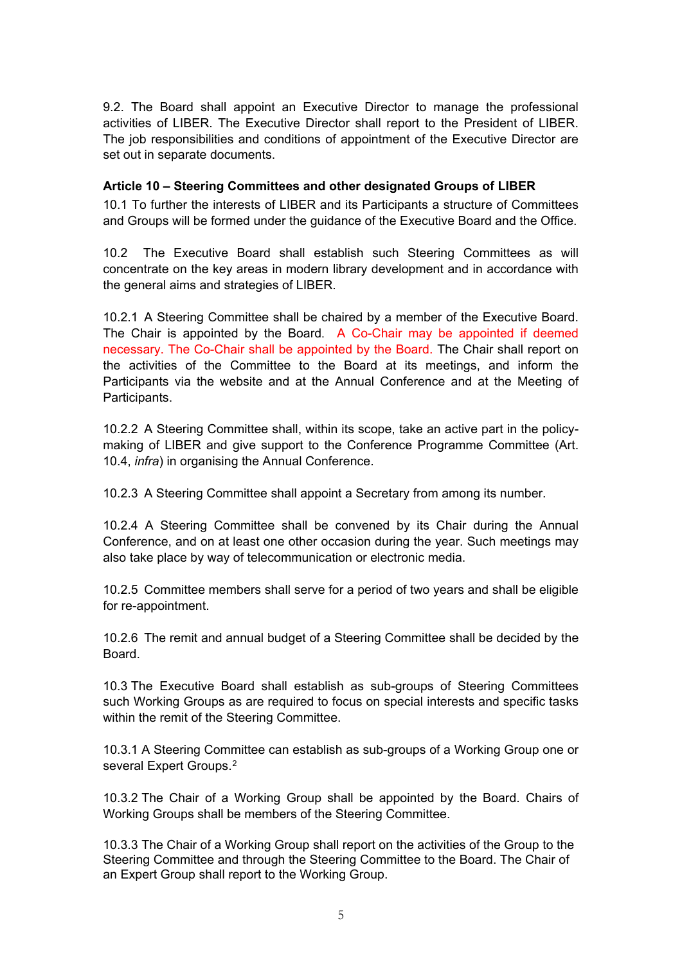9.2. The Board shall appoint an Executive Director to manage the professional activities of LIBER. The Executive Director shall report to the President of LIBER. The job responsibilities and conditions of appointment of the Executive Director are set out in separate documents.

## **Article 10 – Steering Committees and other designated Groups of LIBER**

10.1 To further the interests of LIBER and its Participants a structure of Committees and Groups will be formed under the guidance of the Executive Board and the Office.

10.2 The Executive Board shall establish such Steering Committees as will concentrate on the key areas in modern library development and in accordance with the general aims and strategies of LIBER.

10.2.1 A Steering Committee shall be chaired by a member of the Executive Board. The Chair is appointed by the Board. A Co-Chair may be appointed if deemed necessary. The Co-Chair shall be appointed by the Board. The Chair shall report on the activities of the Committee to the Board at its meetings, and inform the Participants via the website and at the Annual Conference and at the Meeting of Participants.

10.2.2 A Steering Committee shall, within its scope, take an active part in the policymaking of LIBER and give support to the Conference Programme Committee (Art. 10.4, *infra*) in organising the Annual Conference.

10.2.3 A Steering Committee shall appoint a Secretary from among its number.

10.2.4 A Steering Committee shall be convened by its Chair during the Annual Conference, and on at least one other occasion during the year. Such meetings may also take place by way of telecommunication or electronic media.

10.2.5 Committee members shall serve for a period of two years and shall be eligible for re-appointment.

10.2.6 The remit and annual budget of a Steering Committee shall be decided by the Board.

10.3 The Executive Board shall establish as sub-groups of Steering Committees such Working Groups as are required to focus on special interests and specific tasks within the remit of the Steering Committee.

10.3.1 A Steering Committee can establish as sub-groups of a Working Group one or several Expert Groups.<sup>[2](#page-5-1)</sup>

10.3.2 The Chair of a Working Group shall be appointed by the Board. Chairs of Working Groups shall be members of the Steering Committee.

10.3.3 The Chair of a Working Group shall report on the activities of the Group to the Steering Committee and through the Steering Committee to the Board. The Chair of an Expert Group shall report to the Working Group.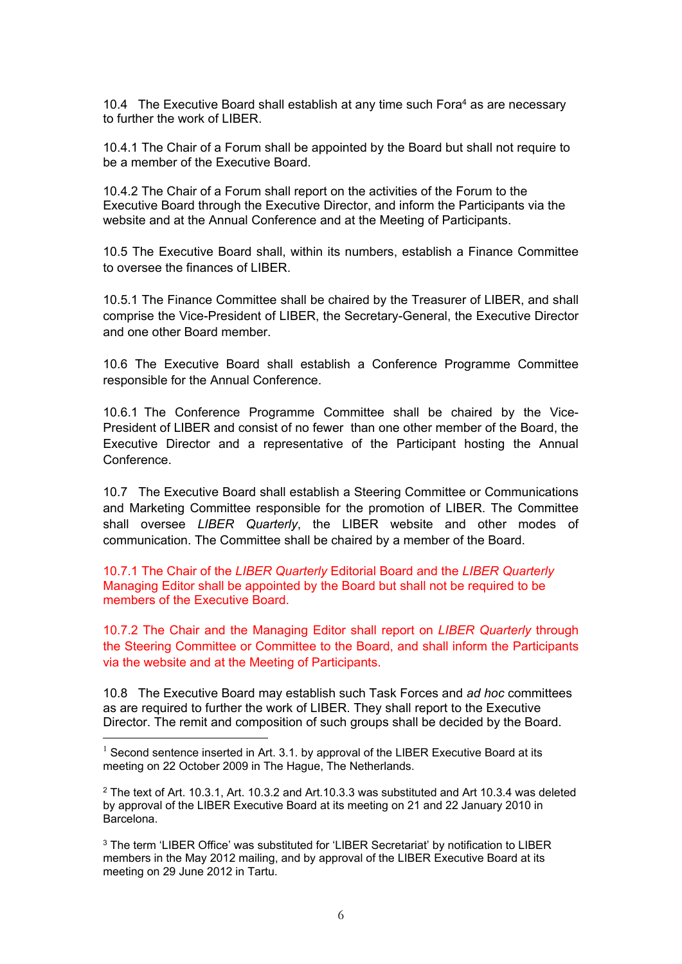10.4 The Executive Board shall establish at any time such Fora<sup>4</sup> as are necessary to further the work of LIBER.

10.4.1 The Chair of a Forum shall be appointed by the Board but shall not require to be a member of the Executive Board.

10.4.2 The Chair of a Forum shall report on the activities of the Forum to the Executive Board through the Executive Director, and inform the Participants via the website and at the Annual Conference and at the Meeting of Participants.

10.5 The Executive Board shall, within its numbers, establish a Finance Committee to oversee the finances of LIBER.

10.5.1 The Finance Committee shall be chaired by the Treasurer of LIBER, and shall comprise the Vice-President of LIBER, the Secretary-General, the Executive Director and one other Board member.

10.6 The Executive Board shall establish a Conference Programme Committee responsible for the Annual Conference.

10.6.1 The Conference Programme Committee shall be chaired by the Vice-President of LIBER and consist of no fewer than one other member of the Board, the Executive Director and a representative of the Participant hosting the Annual **Conference** 

10.7 The Executive Board shall establish a Steering Committee or Communications and Marketing Committee responsible for the promotion of LIBER. The Committee shall oversee *LIBER Quarterly*, the LIBER website and other modes of communication. The Committee shall be chaired by a member of the Board.

10.7.1 The Chair of the *LIBER Quarterly* Editorial Board and the *LIBER Quarterly* Managing Editor shall be appointed by the Board but shall not be required to be members of the Executive Board.

10.7.2 The Chair and the Managing Editor shall report on *LIBER Quarterly* through the Steering Committee or Committee to the Board, and shall inform the Participants via the website and at the Meeting of Participants.

10.8 The Executive Board may establish such Task Forces and *ad hoc* committees as are required to further the work of LIBER. They shall report to the Executive Director. The remit and composition of such groups shall be decided by the Board.

<span id="page-5-0"></span> $1$  Second sentence inserted in Art. 3.1. by approval of the LIBER Executive Board at its meeting on 22 October 2009 in The Hague, The Netherlands.

<span id="page-5-1"></span> $2$  The text of Art. 10.3.1, Art. 10.3.2 and Art. 10.3.3 was substituted and Art 10.3.4 was deleted by approval of the LIBER Executive Board at its meeting on 21 and 22 January 2010 in Barcelona.

<sup>&</sup>lt;sup>3</sup> The term 'LIBER Office' was substituted for 'LIBER Secretariat' by notification to LIBER members in the May 2012 mailing, and by approval of the LIBER Executive Board at its meeting on 29 June 2012 in Tartu.